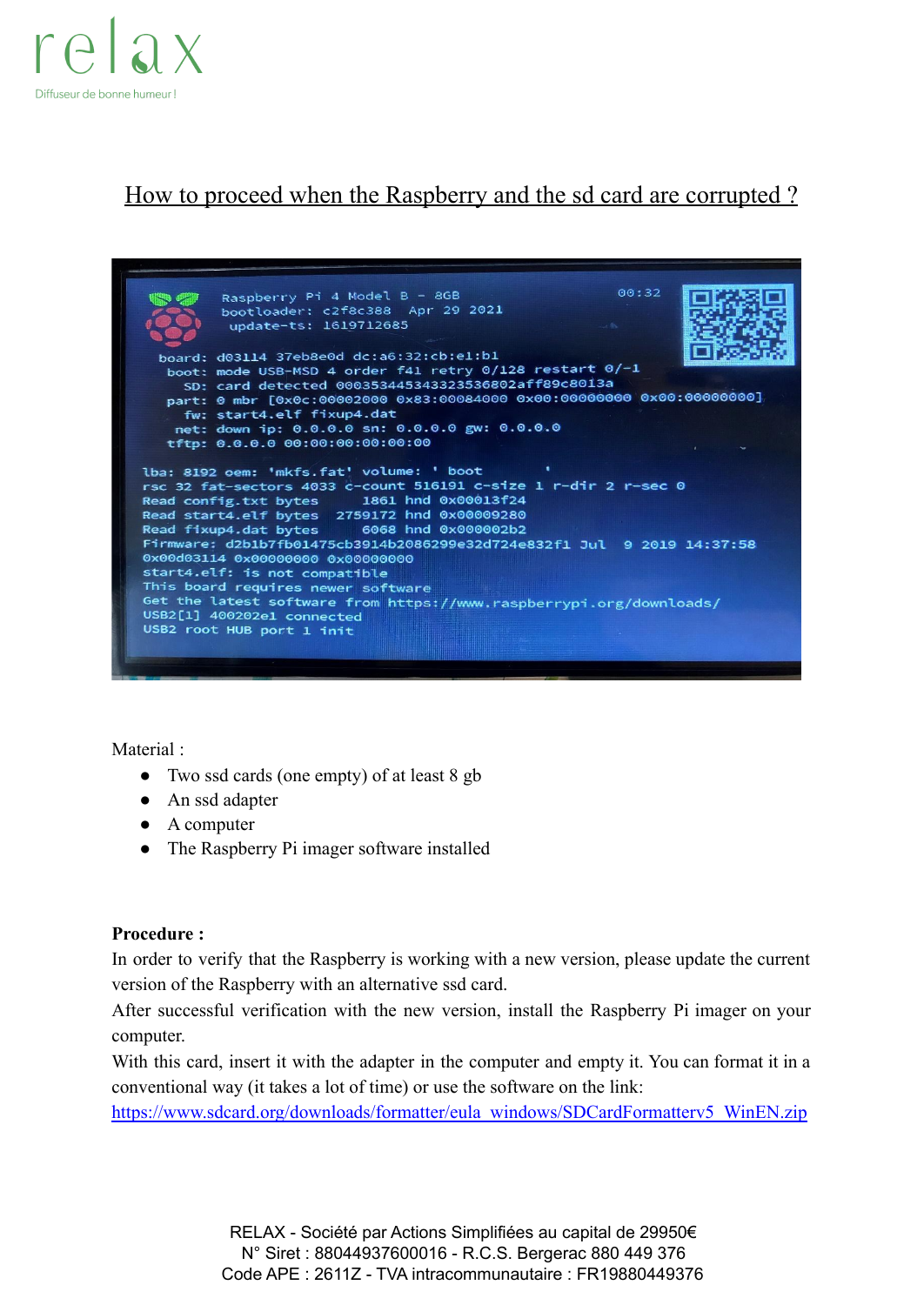

## How to proceed when the Raspberry and the sd card are corrupted ?



Material :

- Two ssd cards (one empty) of at least 8 gb
- An ssd adapter
- A computer
- The Raspberry Pi imager software installed

## **Procedure :**

In order to verify that the Raspberry is working with a new version, please update the current version of the Raspberry with an alternative ssd card.

After successful verification with the new version, install the Raspberry Pi imager on your computer.

With this card, insert it with the adapter in the computer and empty it. You can format it in a conventional way (it takes a lot of time) or use the software on the link:

[https://www.sdcard.org/downloads/formatter/eula\\_windows/SDCardFormatterv5\\_WinEN.zip](https://www.sdcard.org/downloads/formatter/eula_windows/SDCardFormatterv5_WinEN.zip)